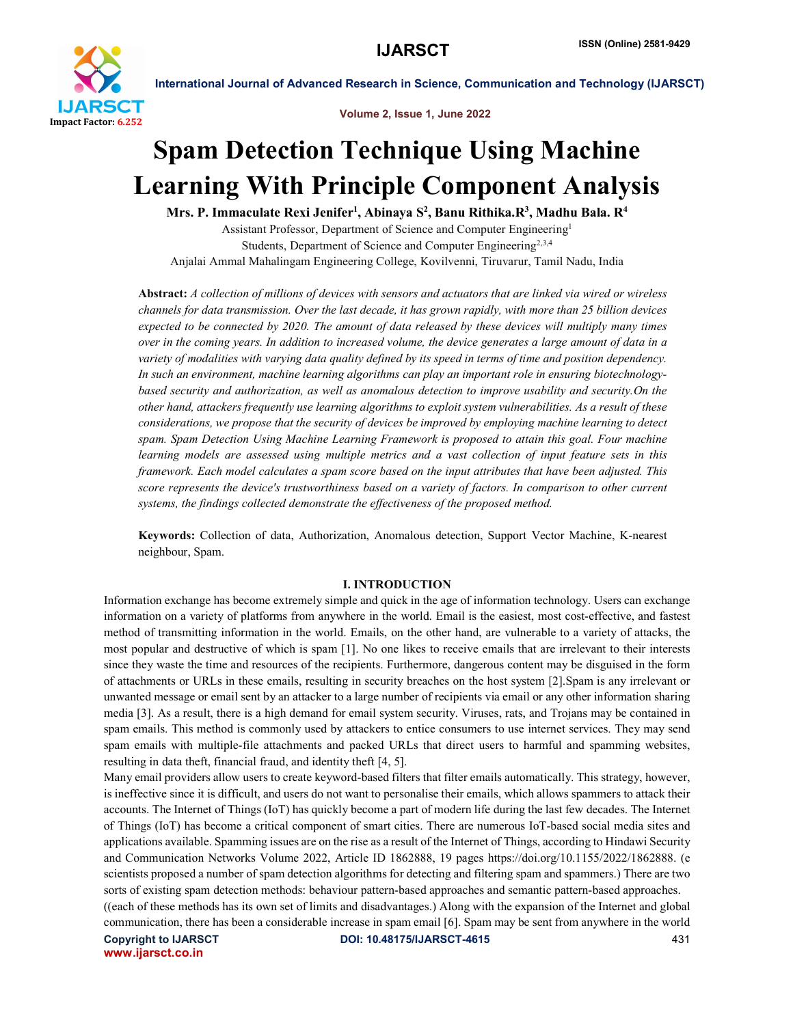

Volume 2, Issue 1, June 2022

# Spam Detection Technique Using Machine Learning With Principle Component Analysis

Mrs. P. Immaculate Rexi Jenifer<sup>1</sup>, Abinaya S<sup>2</sup>, Banu Rithika.R<sup>3</sup>, Madhu Bala. R<sup>4</sup>

Assistant Professor, Department of Science and Computer Engineering1 Students, Department of Science and Computer Engineering<sup>2,3,4</sup> Anjalai Ammal Mahalingam Engineering College, Kovilvenni, Tiruvarur, Tamil Nadu, India

Abstract: *A collection of millions of devices with sensors and actuators that are linked via wired or wireless channels for data transmission. Over the last decade, it has grown rapidly, with more than 25 billion devices expected to be connected by 2020. The amount of data released by these devices will multiply many times over in the coming years. In addition to increased volume, the device generates a large amount of data in a variety of modalities with varying data quality defined by its speed in terms of time and position dependency. In such an environment, machine learning algorithms can play an important role in ensuring biotechnologybased security and authorization, as well as anomalous detection to improve usability and security.On the other hand, attackers frequently use learning algorithms to exploit system vulnerabilities. As a result of these considerations, we propose that the security of devices be improved by employing machine learning to detect spam. Spam Detection Using Machine Learning Framework is proposed to attain this goal. Four machine learning models are assessed using multiple metrics and a vast collection of input feature sets in this framework. Each model calculates a spam score based on the input attributes that have been adjusted. This score represents the device's trustworthiness based on a variety of factors. In comparison to other current systems, the findings collected demonstrate the effectiveness of the proposed method.*

Keywords: Collection of data, Authorization, Anomalous detection, Support Vector Machine, K-nearest neighbour, Spam.

# I. INTRODUCTION

Information exchange has become extremely simple and quick in the age of information technology. Users can exchange information on a variety of platforms from anywhere in the world. Email is the easiest, most cost-effective, and fastest method of transmitting information in the world. Emails, on the other hand, are vulnerable to a variety of attacks, the most popular and destructive of which is spam [1]. No one likes to receive emails that are irrelevant to their interests since they waste the time and resources of the recipients. Furthermore, dangerous content may be disguised in the form of attachments or URLs in these emails, resulting in security breaches on the host system [2].Spam is any irrelevant or unwanted message or email sent by an attacker to a large number of recipients via email or any other information sharing media [3]. As a result, there is a high demand for email system security. Viruses, rats, and Trojans may be contained in spam emails. This method is commonly used by attackers to entice consumers to use internet services. They may send spam emails with multiple-file attachments and packed URLs that direct users to harmful and spamming websites, resulting in data theft, financial fraud, and identity theft [4, 5].

Many email providers allow users to create keyword-based filters that filter emails automatically. This strategy, however, is ineffective since it is difficult, and users do not want to personalise their emails, which allows spammers to attack their accounts. The Internet of Things (IoT) has quickly become a part of modern life during the last few decades. The Internet of Things (IoT) has become a critical component of smart cities. There are numerous IoT-based social media sites and applications available. Spamming issues are on the rise as a result of the Internet of Things, according to Hindawi Security and Communication Networks Volume 2022, Article ID 1862888, 19 pages https://doi.org/10.1155/2022/1862888. (e scientists proposed a number of spam detection algorithms for detecting and filtering spam and spammers.) There are two sorts of existing spam detection methods: behaviour pattern-based approaches and semantic pattern-based approaches. ((each of these methods has its own set of limits and disadvantages.) Along with the expansion of the Internet and global communication, there has been a considerable increase in spam email [6]. Spam may be sent from anywhere in the world

www.ijarsct.co.in

Copyright to IJARSCT **DOI: 10.48175/IJARSCT-4615** 431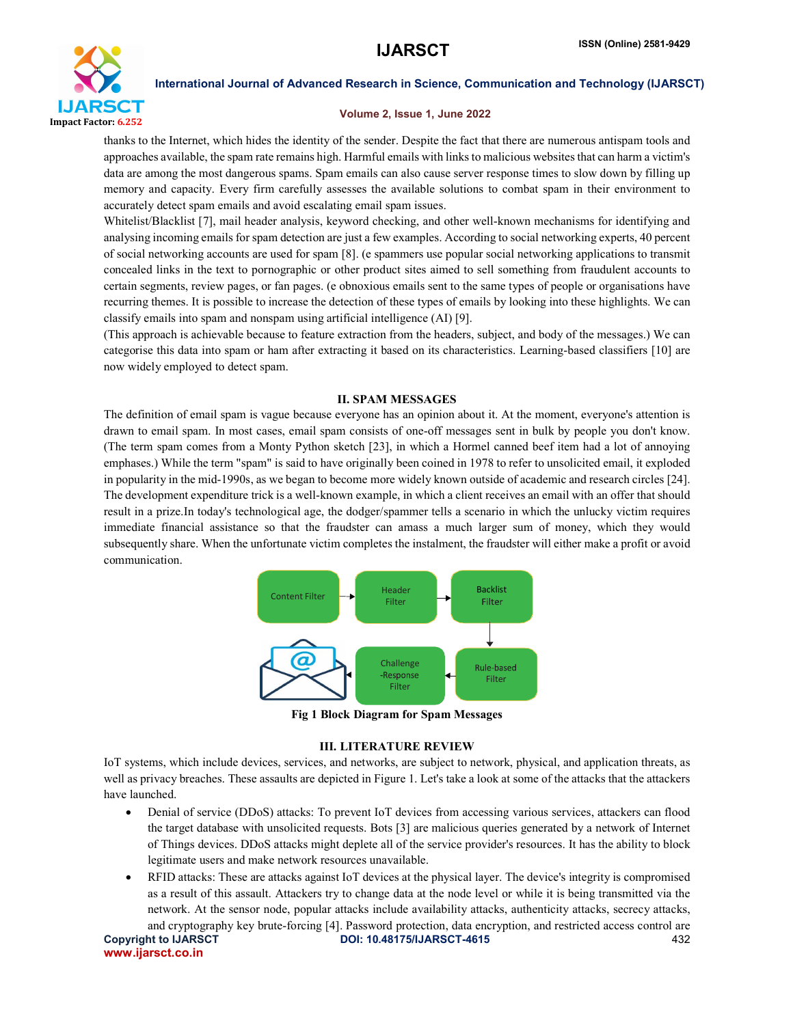

## Volume 2, Issue 1, June 2022

thanks to the Internet, which hides the identity of the sender. Despite the fact that there are numerous antispam tools and approaches available, the spam rate remains high. Harmful emails with links to malicious websites that can harm a victim's data are among the most dangerous spams. Spam emails can also cause server response times to slow down by filling up memory and capacity. Every firm carefully assesses the available solutions to combat spam in their environment to accurately detect spam emails and avoid escalating email spam issues.

Whitelist/Blacklist [7], mail header analysis, keyword checking, and other well-known mechanisms for identifying and analysing incoming emails for spam detection are just a few examples. According to social networking experts, 40 percent of social networking accounts are used for spam [8]. (e spammers use popular social networking applications to transmit concealed links in the text to pornographic or other product sites aimed to sell something from fraudulent accounts to certain segments, review pages, or fan pages. (e obnoxious emails sent to the same types of people or organisations have recurring themes. It is possible to increase the detection of these types of emails by looking into these highlights. We can classify emails into spam and nonspam using artificial intelligence (AI) [9].

(This approach is achievable because to feature extraction from the headers, subject, and body of the messages.) We can categorise this data into spam or ham after extracting it based on its characteristics. Learning-based classifiers [10] are now widely employed to detect spam.

# II. SPAM MESSAGES

The definition of email spam is vague because everyone has an opinion about it. At the moment, everyone's attention is drawn to email spam. In most cases, email spam consists of one-off messages sent in bulk by people you don't know. (The term spam comes from a Monty Python sketch [23], in which a Hormel canned beef item had a lot of annoying emphases.) While the term "spam" is said to have originally been coined in 1978 to refer to unsolicited email, it exploded in popularity in the mid-1990s, as we began to become more widely known outside of academic and research circles [24]. The development expenditure trick is a well-known example, in which a client receives an email with an offer that should result in a prize.In today's technological age, the dodger/spammer tells a scenario in which the unlucky victim requires immediate financial assistance so that the fraudster can amass a much larger sum of money, which they would subsequently share. When the unfortunate victim completes the instalment, the fraudster will either make a profit or avoid communication.



Fig 1 Block Diagram for Spam Messages

# III. LITERATURE REVIEW

IoT systems, which include devices, services, and networks, are subject to network, physical, and application threats, as well as privacy breaches. These assaults are depicted in Figure 1. Let's take a look at some of the attacks that the attackers have launched.

- Denial of service (DDoS) attacks: To prevent IoT devices from accessing various services, attackers can flood the target database with unsolicited requests. Bots [3] are malicious queries generated by a network of Internet of Things devices. DDoS attacks might deplete all of the service provider's resources. It has the ability to block legitimate users and make network resources unavailable.
- RFID attacks: These are attacks against IoT devices at the physical layer. The device's integrity is compromised as a result of this assault. Attackers try to change data at the node level or while it is being transmitted via the network. At the sensor node, popular attacks include availability attacks, authenticity attacks, secrecy attacks,

Copyright to IJARSCT **DOI: 10.48175/IJARSCT-4615** 432 www.ijarsct.co.in and cryptography key brute-forcing [4]. Password protection, data encryption, and restricted access control are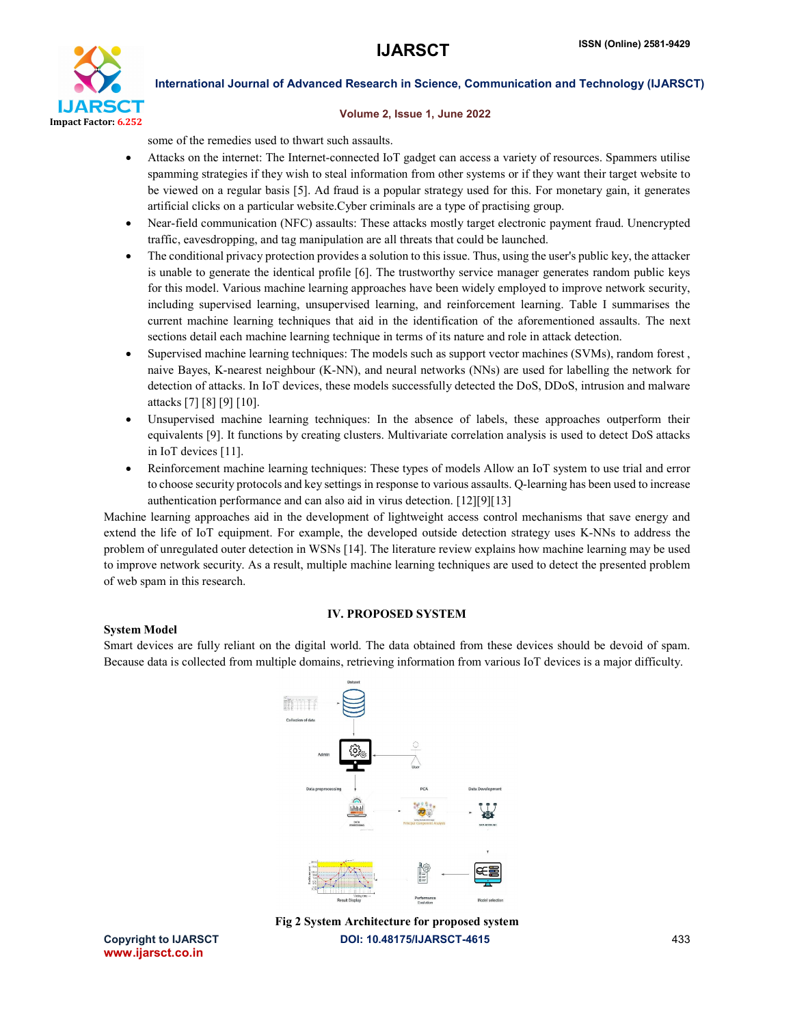

### Volume 2, Issue 1, June 2022

some of the remedies used to thwart such assaults.

- Attacks on the internet: The Internet-connected IoT gadget can access a variety of resources. Spammers utilise spamming strategies if they wish to steal information from other systems or if they want their target website to be viewed on a regular basis [5]. Ad fraud is a popular strategy used for this. For monetary gain, it generates artificial clicks on a particular website.Cyber criminals are a type of practising group.
- Near-field communication (NFC) assaults: These attacks mostly target electronic payment fraud. Unencrypted traffic, eavesdropping, and tag manipulation are all threats that could be launched.
- The conditional privacy protection provides a solution to this issue. Thus, using the user's public key, the attacker is unable to generate the identical profile [6]. The trustworthy service manager generates random public keys for this model. Various machine learning approaches have been widely employed to improve network security, including supervised learning, unsupervised learning, and reinforcement learning. Table I summarises the current machine learning techniques that aid in the identification of the aforementioned assaults. The next sections detail each machine learning technique in terms of its nature and role in attack detection.
- Supervised machine learning techniques: The models such as support vector machines (SVMs), random forest , naive Bayes, K-nearest neighbour (K-NN), and neural networks (NNs) are used for labelling the network for detection of attacks. In IoT devices, these models successfully detected the DoS, DDoS, intrusion and malware attacks [7] [8] [9] [10].
- Unsupervised machine learning techniques: In the absence of labels, these approaches outperform their equivalents [9]. It functions by creating clusters. Multivariate correlation analysis is used to detect DoS attacks in IoT devices [11].
- Reinforcement machine learning techniques: These types of models Allow an IoT system to use trial and error to choose security protocols and key settings in response to various assaults. Q-learning has been used to increase authentication performance and can also aid in virus detection. [12][9][13]

Machine learning approaches aid in the development of lightweight access control mechanisms that save energy and extend the life of IoT equipment. For example, the developed outside detection strategy uses K-NNs to address the problem of unregulated outer detection in WSNs [14]. The literature review explains how machine learning may be used to improve network security. As a result, multiple machine learning techniques are used to detect the presented problem of web spam in this research.

# IV. PROPOSED SYSTEM

Smart devices are fully reliant on the digital world. The data obtained from these devices should be devoid of spam. Because data is collected from multiple domains, retrieving information from various IoT devices is a major difficulty.





www.ijarsct.co.in

System Model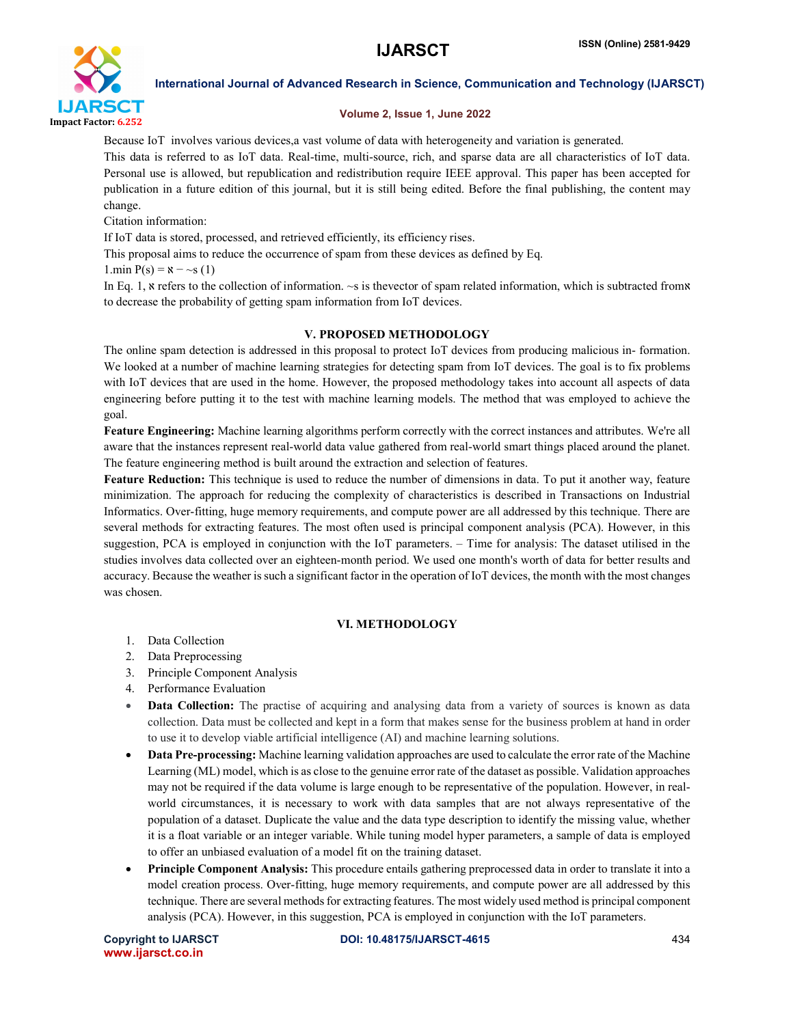

# Volume 2, Issue 1, June 2022

Because IoT involves various devices,a vast volume of data with heterogeneity and variation is generated. This data is referred to as IoT data. Real-time, multi-source, rich, and sparse data are all characteristics of IoT data. Personal use is allowed, but republication and redistribution require IEEE approval. This paper has been accepted for publication in a future edition of this journal, but it is still being edited. Before the final publishing, the content may change.

Citation information:

If IoT data is stored, processed, and retrieved efficiently, its efficiency rises.

This proposal aims to reduce the occurrence of spam from these devices as defined by Eq.

1.min  $P(s) = x - S(1)$ 

In Eq. 1,  $\kappa$  refers to the collection of information.  $\sim$  s is thevector of spam related information, which is subtracted from  $\kappa$ to decrease the probability of getting spam information from IoT devices.

# V. PROPOSED METHODOLOGY

The online spam detection is addressed in this proposal to protect IoT devices from producing malicious in- formation. We looked at a number of machine learning strategies for detecting spam from IoT devices. The goal is to fix problems with IoT devices that are used in the home. However, the proposed methodology takes into account all aspects of data engineering before putting it to the test with machine learning models. The method that was employed to achieve the goal.

Feature Engineering: Machine learning algorithms perform correctly with the correct instances and attributes. We're all aware that the instances represent real-world data value gathered from real-world smart things placed around the planet. The feature engineering method is built around the extraction and selection of features.

Feature Reduction: This technique is used to reduce the number of dimensions in data. To put it another way, feature minimization. The approach for reducing the complexity of characteristics is described in Transactions on Industrial Informatics. Over-fitting, huge memory requirements, and compute power are all addressed by this technique. There are several methods for extracting features. The most often used is principal component analysis (PCA). However, in this suggestion, PCA is employed in conjunction with the IoT parameters. – Time for analysis: The dataset utilised in the studies involves data collected over an eighteen-month period. We used one month's worth of data for better results and accuracy. Because the weather is such a significant factor in the operation of IoT devices, the month with the most changes was chosen.

# VI. METHODOLOGY

- 1. Data Collection
- 2. Data Preprocessing
- 3. Principle Component Analysis
- 4. Performance Evaluation
- Data Collection: The practise of acquiring and analysing data from a variety of sources is known as data collection. Data must be collected and kept in a form that makes sense for the business problem at hand in order to use it to develop viable artificial intelligence (AI) and machine learning solutions.
- Data Pre-processing: Machine learning validation approaches are used to calculate the error rate of the Machine Learning (ML) model, which is as close to the genuine error rate of the dataset as possible. Validation approaches may not be required if the data volume is large enough to be representative of the population. However, in realworld circumstances, it is necessary to work with data samples that are not always representative of the population of a dataset. Duplicate the value and the data type description to identify the missing value, whether it is a float variable or an integer variable. While tuning model hyper parameters, a sample of data is employed to offer an unbiased evaluation of a model fit on the training dataset.
- Principle Component Analysis: This procedure entails gathering preprocessed data in order to translate it into a model creation process. Over-fitting, huge memory requirements, and compute power are all addressed by this technique. There are several methods for extracting features. The most widely used method is principal component analysis (PCA). However, in this suggestion, PCA is employed in conjunction with the IoT parameters.

www.ijarsct.co.in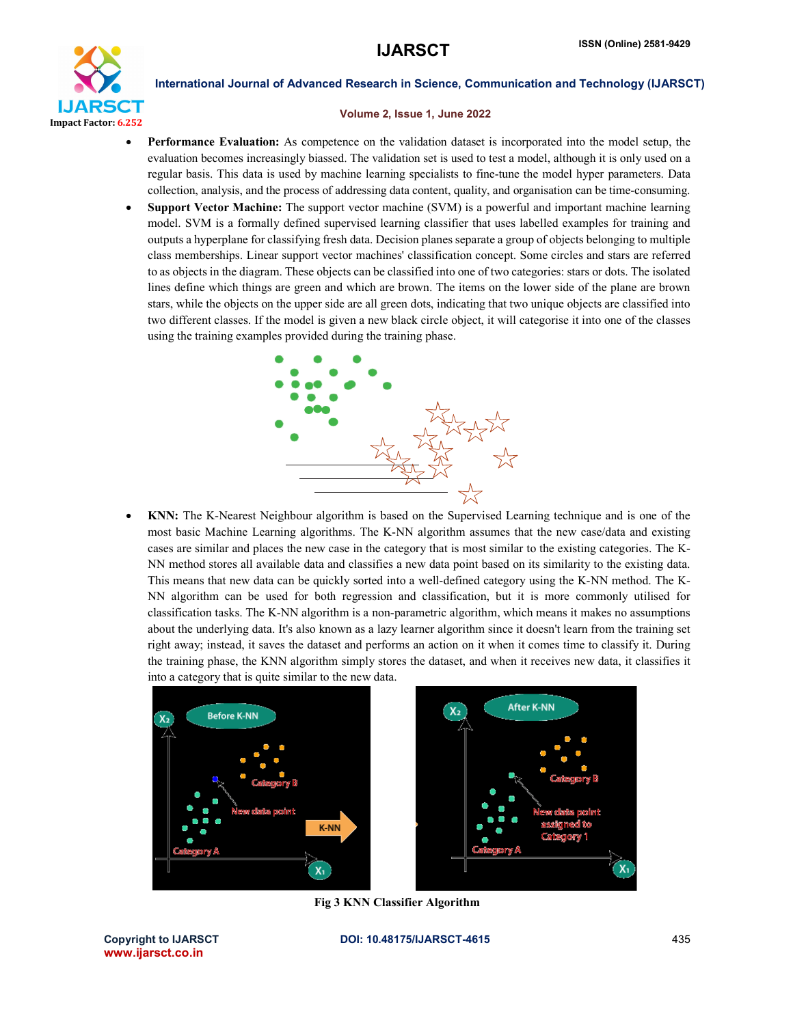

### Volume 2, Issue 1, June 2022

- Performance Evaluation: As competence on the validation dataset is incorporated into the model setup, the evaluation becomes increasingly biassed. The validation set is used to test a model, although it is only used on a regular basis. This data is used by machine learning specialists to fine-tune the model hyper parameters. Data collection, analysis, and the process of addressing data content, quality, and organisation can be time-consuming.
- Support Vector Machine: The support vector machine (SVM) is a powerful and important machine learning model. SVM is a formally defined supervised learning classifier that uses labelled examples for training and outputs a hyperplane for classifying fresh data. Decision planes separate a group of objects belonging to multiple class memberships. Linear support vector machines' classification concept. Some circles and stars are referred to as objects in the diagram. These objects can be classified into one of two categories: stars or dots. The isolated lines define which things are green and which are brown. The items on the lower side of the plane are brown stars, while the objects on the upper side are all green dots, indicating that two unique objects are classified into two different classes. If the model is given a new black circle object, it will categorise it into one of the classes using the training examples provided during the training phase.



 KNN: The K-Nearest Neighbour algorithm is based on the Supervised Learning technique and is one of the most basic Machine Learning algorithms. The K-NN algorithm assumes that the new case/data and existing cases are similar and places the new case in the category that is most similar to the existing categories. The K-NN method stores all available data and classifies a new data point based on its similarity to the existing data. This means that new data can be quickly sorted into a well-defined category using the K-NN method. The K-NN algorithm can be used for both regression and classification, but it is more commonly utilised for classification tasks. The K-NN algorithm is a non-parametric algorithm, which means it makes no assumptions about the underlying data. It's also known as a lazy learner algorithm since it doesn't learn from the training set right away; instead, it saves the dataset and performs an action on it when it comes time to classify it. During the training phase, the KNN algorithm simply stores the dataset, and when it receives new data, it classifies it into a category that is quite similar to the new data.



Fig 3 KNN Classifier Algorithm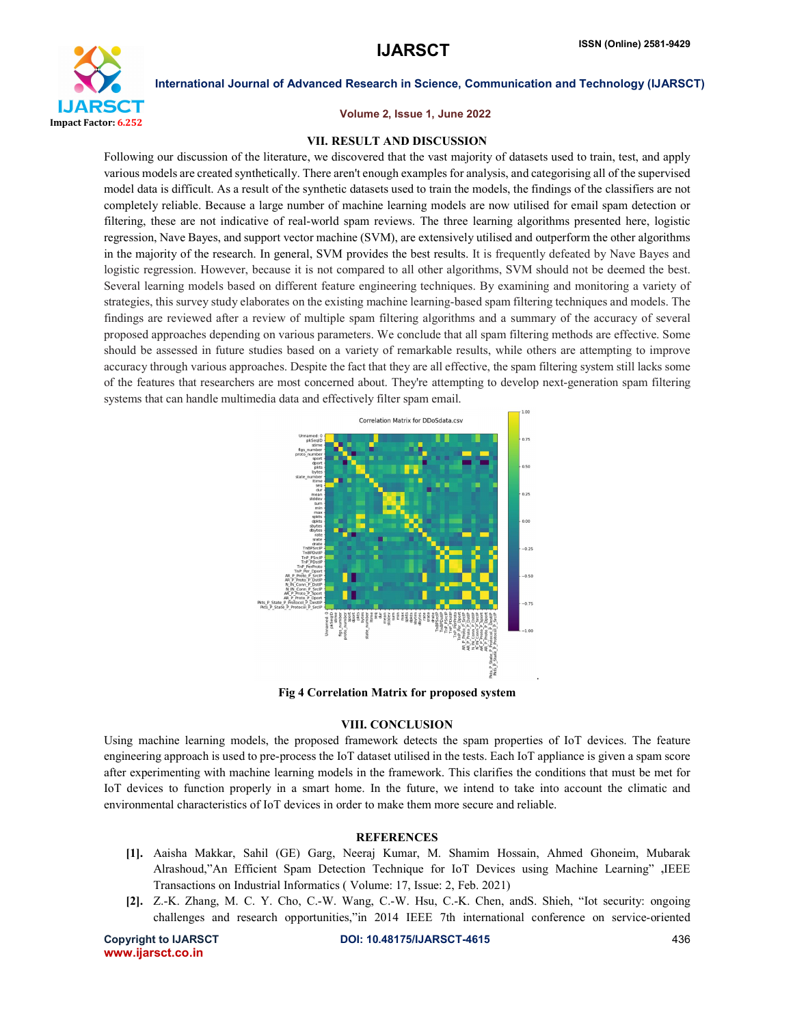

### Volume 2, Issue 1, June 2022

### VII. RESULT AND DISCUSSION

Following our discussion of the literature, we discovered that the vast majority of datasets used to train, test, and apply various models are created synthetically. There aren't enough examples for analysis, and categorising all of the supervised model data is difficult. As a result of the synthetic datasets used to train the models, the findings of the classifiers are not completely reliable. Because a large number of machine learning models are now utilised for email spam detection or filtering, these are not indicative of real-world spam reviews. The three learning algorithms presented here, logistic regression, Nave Bayes, and support vector machine (SVM), are extensively utilised and outperform the other algorithms in the majority of the research. In general, SVM provides the best results. It is frequently defeated by Nave Bayes and logistic regression. However, because it is not compared to all other algorithms, SVM should not be deemed the best. Several learning models based on different feature engineering techniques. By examining and monitoring a variety of strategies, this survey study elaborates on the existing machine learning-based spam filtering techniques and models. The findings are reviewed after a review of multiple spam filtering algorithms and a summary of the accuracy of several proposed approaches depending on various parameters. We conclude that all spam filtering methods are effective. Some should be assessed in future studies based on a variety of remarkable results, while others are attempting to improve accuracy through various approaches. Despite the fact that they are all effective, the spam filtering system still lacks some of the features that researchers are most concerned about. They're attempting to develop next-generation spam filtering systems that can handle multimedia data and effectively filter spam email.



Fig 4 Correlation Matrix for proposed system

# VIII. CONCLUSION

Using machine learning models, the proposed framework detects the spam properties of IoT devices. The feature engineering approach is used to pre-process the IoT dataset utilised in the tests. Each IoT appliance is given a spam score after experimenting with machine learning models in the framework. This clarifies the conditions that must be met for IoT devices to function properly in a smart home. In the future, we intend to take into account the climatic and environmental characteristics of IoT devices in order to make them more secure and reliable.

### **REFERENCES**

- [1]. Aaisha Makkar, Sahil (GE) Garg, Neeraj Kumar, M. Shamim Hossain, Ahmed Ghoneim, Mubarak Alrashoud,"An Efficient Spam Detection Technique for IoT Devices using Machine Learning" ,IEEE Transactions on Industrial Informatics ( Volume: 17, Issue: 2, Feb. 2021)
- [2]. Z.-K. Zhang, M. C. Y. Cho, C.-W. Wang, C.-W. Hsu, C.-K. Chen, andS. Shieh, "Iot security: ongoing challenges and research opportunities,"in 2014 IEEE 7th international conference on service-oriented

www.ijarsct.co.in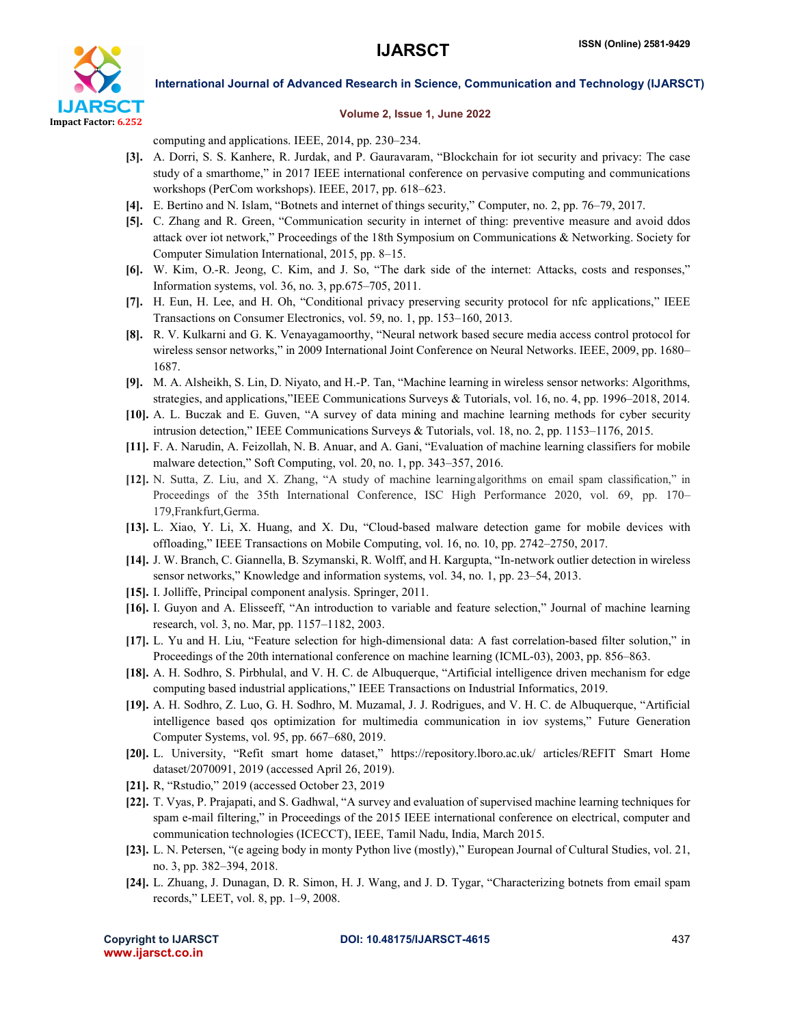

# Volume 2, Issue 1, June 2022

computing and applications. IEEE, 2014, pp. 230–234.

- [3]. A. Dorri, S. S. Kanhere, R. Jurdak, and P. Gauravaram, "Blockchain for iot security and privacy: The case study of a smarthome," in 2017 IEEE international conference on pervasive computing and communications workshops (PerCom workshops). IEEE, 2017, pp. 618–623.
- [4]. E. Bertino and N. Islam, "Botnets and internet of things security," Computer, no. 2, pp. 76–79, 2017.
- [5]. C. Zhang and R. Green, "Communication security in internet of thing: preventive measure and avoid ddos attack over iot network," Proceedings of the 18th Symposium on Communications & Networking. Society for Computer Simulation International, 2015, pp. 8–15.
- [6]. W. Kim, O.-R. Jeong, C. Kim, and J. So, "The dark side of the internet: Attacks, costs and responses," Information systems, vol. 36, no. 3, pp.675–705, 2011.
- [7]. H. Eun, H. Lee, and H. Oh, "Conditional privacy preserving security protocol for nfc applications," IEEE Transactions on Consumer Electronics, vol. 59, no. 1, pp. 153–160, 2013.
- [8]. R. V. Kulkarni and G. K. Venayagamoorthy, "Neural network based secure media access control protocol for wireless sensor networks," in 2009 International Joint Conference on Neural Networks. IEEE, 2009, pp. 1680– 1687.
- [9]. M. A. Alsheikh, S. Lin, D. Niyato, and H.-P. Tan, "Machine learning in wireless sensor networks: Algorithms, strategies, and applications,"IEEE Communications Surveys & Tutorials, vol. 16, no. 4, pp. 1996–2018, 2014.
- [10]. A. L. Buczak and E. Guven, "A survey of data mining and machine learning methods for cyber security intrusion detection," IEEE Communications Surveys & Tutorials, vol. 18, no. 2, pp. 1153–1176, 2015.
- [11]. F. A. Narudin, A. Feizollah, N. B. Anuar, and A. Gani, "Evaluation of machine learning classifiers for mobile malware detection," Soft Computing, vol. 20, no. 1, pp. 343–357, 2016.
- [12]. N. Sutta, Z. Liu, and X. Zhang, "A study of machine learningalgorithms on email spam classification," in Proceedings of the 35th International Conference, ISC High Performance 2020, vol. 69, pp. 170– 179,Frankfurt,Germa.
- [13]. L. Xiao, Y. Li, X. Huang, and X. Du, "Cloud-based malware detection game for mobile devices with offloading," IEEE Transactions on Mobile Computing, vol. 16, no. 10, pp. 2742–2750, 2017.
- [14]. J. W. Branch, C. Giannella, B. Szymanski, R. Wolff, and H. Kargupta, "In-network outlier detection in wireless sensor networks," Knowledge and information systems, vol. 34, no. 1, pp. 23–54, 2013.
- [15]. I. Jolliffe, Principal component analysis. Springer, 2011.
- [16]. I. Guyon and A. Elisseeff, "An introduction to variable and feature selection," Journal of machine learning research, vol. 3, no. Mar, pp. 1157–1182, 2003.
- [17]. L. Yu and H. Liu, "Feature selection for high-dimensional data: A fast correlation-based filter solution," in Proceedings of the 20th international conference on machine learning (ICML-03), 2003, pp. 856–863.
- [18]. A. H. Sodhro, S. Pirbhulal, and V. H. C. de Albuquerque, "Artificial intelligence driven mechanism for edge computing based industrial applications," IEEE Transactions on Industrial Informatics, 2019.
- [19]. A. H. Sodhro, Z. Luo, G. H. Sodhro, M. Muzamal, J. J. Rodrigues, and V. H. C. de Albuquerque, "Artificial intelligence based qos optimization for multimedia communication in iov systems," Future Generation Computer Systems, vol. 95, pp. 667–680, 2019.
- [20]. L. University, "Refit smart home dataset," https://repository.lboro.ac.uk/ articles/REFIT Smart Home dataset/2070091, 2019 (accessed April 26, 2019).
- [21]. R, "Rstudio," 2019 (accessed October 23, 2019
- [22]. T. Vyas, P. Prajapati, and S. Gadhwal, "A survey and evaluation of supervised machine learning techniques for spam e-mail filtering," in Proceedings of the 2015 IEEE international conference on electrical, computer and communication technologies (ICECCT), IEEE, Tamil Nadu, India, March 2015.
- [23]. L. N. Petersen, "(e ageing body in monty Python live (mostly)," European Journal of Cultural Studies, vol. 21, no. 3, pp. 382–394, 2018.
- [24]. L. Zhuang, J. Dunagan, D. R. Simon, H. J. Wang, and J. D. Tygar, "Characterizing botnets from email spam records," LEET, vol. 8, pp. 1–9, 2008.